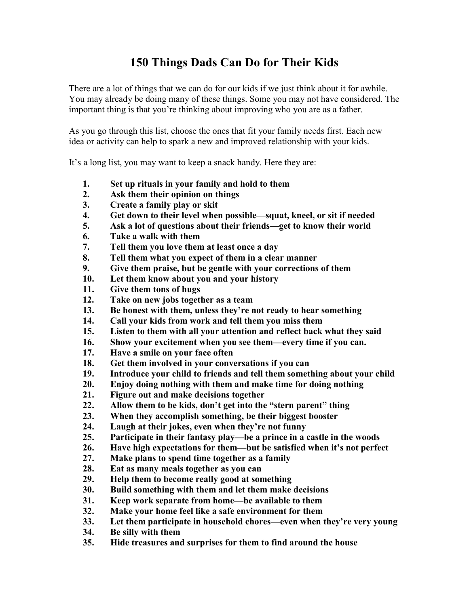## **150 Things Dads Can Do for Their Kids**

There are a lot of things that we can do for our kids if we just think about it for awhile. You may already be doing many of these things. Some you may not have considered. The important thing is that you're thinking about improving who you are as a father.

As you go through this list, choose the ones that fit your family needs first. Each new idea or activity can help to spark a new and improved relationship with your kids.

It's a long list, you may want to keep a snack handy. Here they are:

- **1. Set up rituals in your family and hold to them**
- **2. Ask them their opinion on things**
- **3. Create a family play or skit**
- **4. Get down to their level when possible—squat, kneel, or sit if needed**
- **5. Ask a lot of questions about their friends—get to know their world**
- **6. Take a walk with them**
- **7. Tell them you love them at least once a day**
- **8. Tell them what you expect of them in a clear manner**
- **9. Give them praise, but be gentle with your corrections of them**
- **10. Let them know about you and your history**
- **11. Give them tons of hugs**
- **12. Take on new jobs together as a team**
- **13. Be honest with them, unless they're not ready to hear something**
- **14. Call your kids from work and tell them you miss them**
- **15. Listen to them with all your attention and reflect back what they said**
- **16. Show your excitement when you see them—every time if you can.**
- **17. Have a smile on your face often**
- **18. Get them involved in your conversations if you can**
- **19. Introduce your child to friends and tell them something about your child**
- **20. Enjoy doing nothing with them and make time for doing nothing**
- **21. Figure out and make decisions together**
- **22. Allow them to be kids, don't get into the "stern parent" thing**
- **23. When they accomplish something, be their biggest booster**
- **24. Laugh at their jokes, even when they're not funny**
- **25. Participate in their fantasy play—be a prince in a castle in the woods**
- **26. Have high expectations for them—but be satisfied when it's not perfect**
- **27. Make plans to spend time together as a family**
- **28. Eat as many meals together as you can**
- **29. Help them to become really good at something**
- **30. Build something with them and let them make decisions**
- **31. Keep work separate from home—be available to them**
- **32. Make your home feel like a safe environment for them**
- **33. Let them participate in household chores—even when they're very young**
- **34. Be silly with them**
- **35. Hide treasures and surprises for them to find around the house**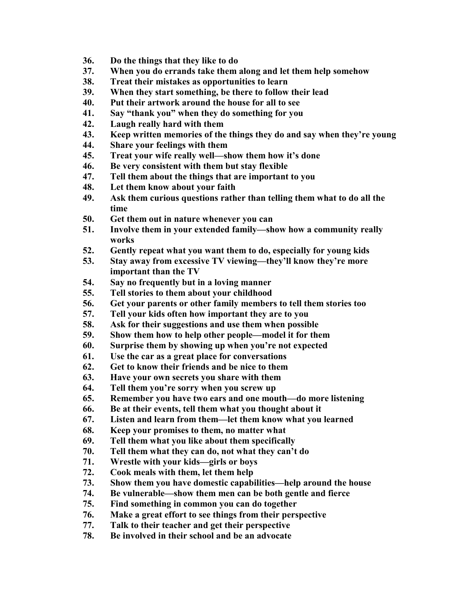- **36. Do the things that they like to do**
- **37. When you do errands take them along and let them help somehow**
- **38. Treat their mistakes as opportunities to learn**
- **39. When they start something, be there to follow their lead**
- **40. Put their artwork around the house for all to see**
- **41. Say "thank you" when they do something for you**
- **42. Laugh really hard with them**
- **43. Keep written memories of the things they do and say when they're young**
- **44. Share your feelings with them**
- **45. Treat your wife really well—show them how it's done**
- **46. Be very consistent with them but stay flexible**
- **47. Tell them about the things that are important to you**
- **48. Let them know about your faith**
- **49. Ask them curious questions rather than telling them what to do all the time**
- **50. Get them out in nature whenever you can**
- **51. Involve them in your extended family—show how a community really works**
- **52. Gently repeat what you want them to do, especially for young kids**
- **53. Stay away from excessive TV viewing—they'll know they're more important than the TV**
- **54. Say no frequently but in a loving manner**
- **55. Tell stories to them about your childhood**
- **56. Get your parents or other family members to tell them stories too**
- **57. Tell your kids often how important they are to you**
- **58. Ask for their suggestions and use them when possible**
- **59. Show them how to help other people—model it for them**
- **60. Surprise them by showing up when you're not expected**
- **61. Use the car as a great place for conversations**
- **62. Get to know their friends and be nice to them**
- **63. Have your own secrets you share with them**
- **64. Tell them you're sorry when you screw up**
- **65. Remember you have two ears and one mouth—do more listening**
- **66. Be at their events, tell them what you thought about it**
- **67. Listen and learn from them—let them know what you learned**
- **68. Keep your promises to them, no matter what**
- **69. Tell them what you like about them specifically**
- **70. Tell them what they can do, not what they can't do**
- **71. Wrestle with your kids—girls or boys**
- **72. Cook meals with them, let them help**
- **73. Show them you have domestic capabilities—help around the house**
- **74. Be vulnerable—show them men can be both gentle and fierce**
- **75. Find something in common you can do together**
- **76. Make a great effort to see things from their perspective**
- **77. Talk to their teacher and get their perspective**
- **78. Be involved in their school and be an advocate**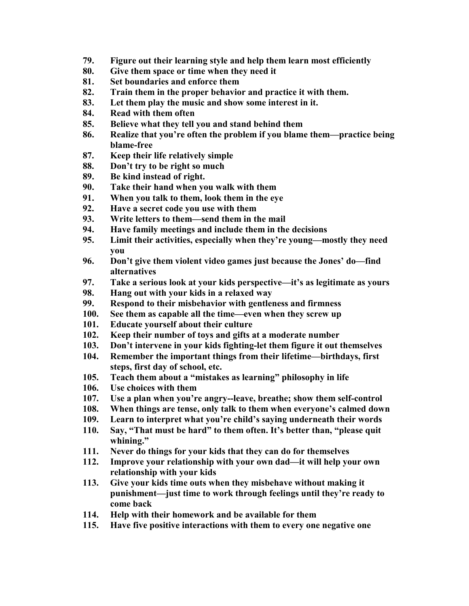- **79. Figure out their learning style and help them learn most efficiently**
- **80. Give them space or time when they need it**
- **81. Set boundaries and enforce them**
- **82. Train them in the proper behavior and practice it with them.**
- **83. Let them play the music and show some interest in it.**
- **84. Read with them often**
- **85. Believe what they tell you and stand behind them**
- **86. Realize that you're often the problem if you blame them—practice being blame-free**
- **87. Keep their life relatively simple**
- **88. Don't try to be right so much**
- **89. Be kind instead of right.**
- **90. Take their hand when you walk with them**
- **91. When you talk to them, look them in the eye**
- **92. Have a secret code you use with them**
- **93. Write letters to them—send them in the mail**
- **94. Have family meetings and include them in the decisions**
- **95. Limit their activities, especially when they're young—mostly they need you**
- **96. Don't give them violent video games just because the Jones' do—find alternatives**
- **97. Take a serious look at your kids perspective—it's as legitimate as yours**
- **98. Hang out with your kids in a relaxed way**
- **99. Respond to their misbehavior with gentleness and firmness**
- **100. See them as capable all the time—even when they screw up**
- **101. Educate yourself about their culture**
- **102. Keep their number of toys and gifts at a moderate number**
- **103. Don't intervene in your kids fighting-let them figure it out themselves**
- **104. Remember the important things from their lifetime—birthdays, first steps, first day of school, etc.**
- **105. Teach them about a "mistakes as learning" philosophy in life**
- **106. Use choices with them**
- **107. Use a plan when you're angry--leave, breathe; show them self-control**
- **108. When things are tense, only talk to them when everyone's calmed down**
- **109. Learn to interpret what you're child's saying underneath their words**
- **110. Say, "That must be hard" to them often. It's better than, "please quit whining."**
- **111. Never do things for your kids that they can do for themselves**
- **112. Improve your relationship with your own dad—it will help your own relationship with your kids**
- **113. Give your kids time outs when they misbehave without making it punishment—just time to work through feelings until they're ready to come back**
- **114. Help with their homework and be available for them**
- **115. Have five positive interactions with them to every one negative one**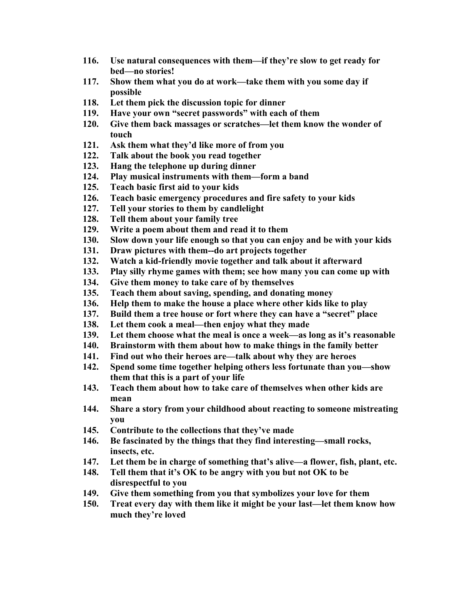- **116. Use natural consequences with them—if they're slow to get ready for bed—no stories!**
- **117. Show them what you do at work—take them with you some day if possible**
- **118. Let them pick the discussion topic for dinner**
- **119. Have your own "secret passwords" with each of them**
- **120. Give them back massages or scratches—let them know the wonder of touch**
- **121. Ask them what they'd like more of from you**
- **122. Talk about the book you read together**
- **123. Hang the telephone up during dinner**
- **124. Play musical instruments with them—form a band**
- **125. Teach basic first aid to your kids**
- **126. Teach basic emergency procedures and fire safety to your kids**
- **127. Tell your stories to them by candlelight**
- **128. Tell them about your family tree**
- **129. Write a poem about them and read it to them**
- **130. Slow down your life enough so that you can enjoy and be with your kids**
- **131. Draw pictures with them--do art projects together**
- **132. Watch a kid-friendly movie together and talk about it afterward**
- **133. Play silly rhyme games with them; see how many you can come up with**
- **134. Give them money to take care of by themselves**
- **135. Teach them about saving, spending, and donating money**
- **136. Help them to make the house a place where other kids like to play**
- **137. Build them a tree house or fort where they can have a "secret" place**
- **138. Let them cook a meal—then enjoy what they made**
- **139. Let them choose what the meal is once a week—as long as it's reasonable**
- **140. Brainstorm with them about how to make things in the family better**
- **141. Find out who their heroes are—talk about why they are heroes**
- **142. Spend some time together helping others less fortunate than you—show them that this is a part of your life**
- **143. Teach them about how to take care of themselves when other kids are mean**
- **144. Share a story from your childhood about reacting to someone mistreating you**
- **145. Contribute to the collections that they've made**
- **146. Be fascinated by the things that they find interesting—small rocks, insects, etc.**
- **147. Let them be in charge of something that's alive—a flower, fish, plant, etc.**
- **148. Tell them that it's OK to be angry with you but not OK to be disrespectful to you**
- **149. Give them something from you that symbolizes your love for them**
- **150. Treat every day with them like it might be your last—let them know how much they're loved**